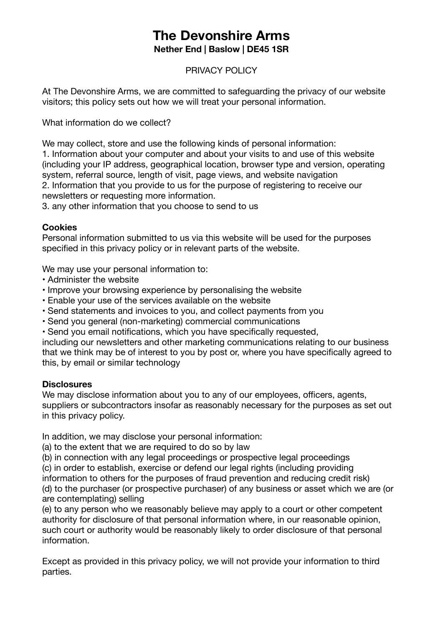# **The Devonshire Arms**

**Nether End | Baslow | DE45 1SR**

## PRIVACY POLICY

At The Devonshire Arms, we are committed to safeguarding the privacy of our website visitors; this policy sets out how we will treat your personal information.

What information do we collect?

We may collect, store and use the following kinds of personal information: 1. Information about your computer and about your visits to and use of this website (including your IP address, geographical location, browser type and version, operating system, referral source, length of visit, page views, and website navigation 2. Information that you provide to us for the purpose of registering to receive our newsletters or requesting more information.

3. any other information that you choose to send to us

## **Cookies**

Personal information submitted to us via this website will be used for the purposes specified in this privacy policy or in relevant parts of the website.

We may use your personal information to:

- Administer the website
- Improve your browsing experience by personalising the website
- Enable your use of the services available on the website
- Send statements and invoices to you, and collect payments from you
- Send you general (non-marketing) commercial communications
- Send you email notifications, which you have specifically requested,

including our newsletters and other marketing communications relating to our business that we think may be of interest to you by post or, where you have specifically agreed to this, by email or similar technology

## **Disclosures**

We may disclose information about you to any of our employees, officers, agents, suppliers or subcontractors insofar as reasonably necessary for the purposes as set out in this privacy policy.

In addition, we may disclose your personal information:

(a) to the extent that we are required to do so by law

(b) in connection with any legal proceedings or prospective legal proceedings

(c) in order to establish, exercise or defend our legal rights (including providing

information to others for the purposes of fraud prevention and reducing credit risk) (d) to the purchaser (or prospective purchaser) of any business or asset which we are (or are contemplating) selling

(e) to any person who we reasonably believe may apply to a court or other competent authority for disclosure of that personal information where, in our reasonable opinion, such court or authority would be reasonably likely to order disclosure of that personal information.

Except as provided in this privacy policy, we will not provide your information to third parties.